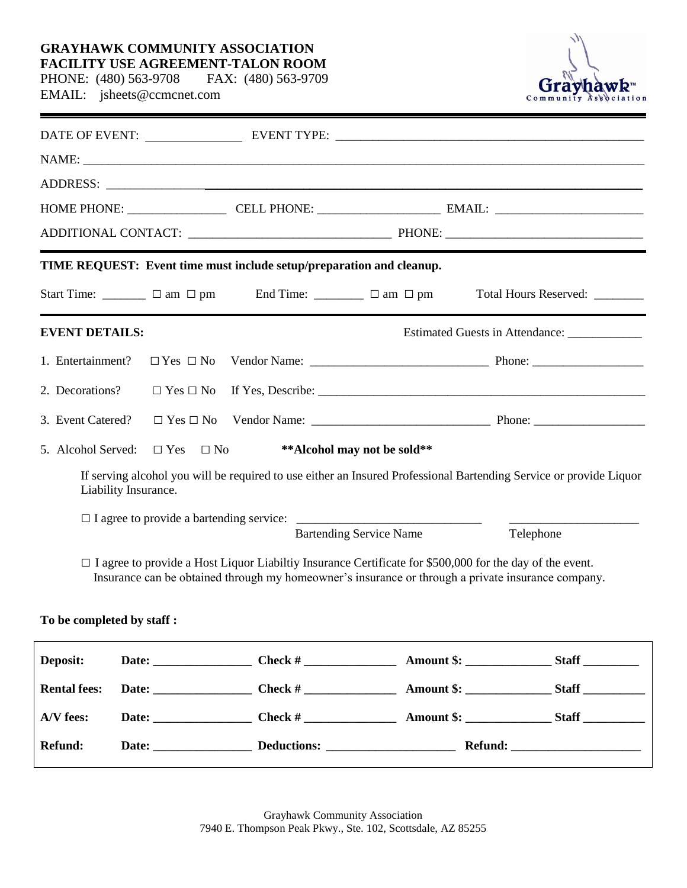# **GRAYHAWK COMMUNITY ASSOCIATION FACILITY USE AGREEMENT-TALON ROOM**<br>PHONE: (480) 563-9708 FAX: (480) 563-9709

PHONE: (480) 563-9708 EMAIL: jsheets@ccmcnet.com



|                                                          |                         |                                                                             |                                | DATE OF EVENT: LEVENT TYPE: LEVENT TYPE: LEVENT TYPE: LEVENT TYPE: LEVENT TYPE: LEVENT PRESS                                                                                                                          |
|----------------------------------------------------------|-------------------------|-----------------------------------------------------------------------------|--------------------------------|-----------------------------------------------------------------------------------------------------------------------------------------------------------------------------------------------------------------------|
|                                                          |                         |                                                                             |                                |                                                                                                                                                                                                                       |
|                                                          |                         |                                                                             |                                |                                                                                                                                                                                                                       |
|                                                          |                         |                                                                             |                                |                                                                                                                                                                                                                       |
|                                                          |                         |                                                                             |                                |                                                                                                                                                                                                                       |
|                                                          |                         | TIME REQUEST: Event time must include setup/preparation and cleanup.        |                                |                                                                                                                                                                                                                       |
| <u> 1980 - Johann Stoff, amerikansk politik (* 1901)</u> |                         | Start Time: $\Box$ $\Box$ am $\Box$ pm End Time: $\Box$ $\Box$ am $\Box$ pm |                                | Total Hours Reserved: _______                                                                                                                                                                                         |
| <b>EVENT DETAILS:</b>                                    |                         |                                                                             |                                | Estimated Guests in Attendance: _____________                                                                                                                                                                         |
| 1. Entertainment?                                        |                         |                                                                             |                                |                                                                                                                                                                                                                       |
| 2. Decorations?                                          |                         |                                                                             |                                |                                                                                                                                                                                                                       |
| 3. Event Catered?                                        |                         |                                                                             |                                |                                                                                                                                                                                                                       |
| 5. Alcohol Served:                                       | $\Box$ Yes<br>$\Box$ No |                                                                             | ** Alcohol may not be sold**   |                                                                                                                                                                                                                       |
| Liability Insurance.                                     |                         |                                                                             |                                | If serving alcohol you will be required to use either an Insured Professional Bartending Service or provide Liquor                                                                                                    |
|                                                          |                         |                                                                             |                                |                                                                                                                                                                                                                       |
|                                                          |                         |                                                                             | <b>Bartending Service Name</b> | Telephone                                                                                                                                                                                                             |
|                                                          |                         |                                                                             |                                | $\Box$ I agree to provide a Host Liquor Liabiltiy Insurance Certificate for \$500,000 for the day of the event.<br>Insurance can be obtained through my homeowner's insurance or through a private insurance company. |
| To be completed by staff :                               |                         |                                                                             |                                |                                                                                                                                                                                                                       |

| Deposit:            |                       | $Check \#$                            | Amount $\hat{\mathbf{s}}$ : | <b>Staff</b> |
|---------------------|-----------------------|---------------------------------------|-----------------------------|--------------|
| <b>Rental fees:</b> |                       | Date: $\qquad \qquad \text{Check} \#$ | Amount \$:                  | <b>Staff</b> |
| A/V fees:           | Date: $\qquad \qquad$ | $Check \#$                            | Amount \$:                  | <b>Staff</b> |
| <b>Refund:</b>      |                       | Date: Deductions:                     |                             |              |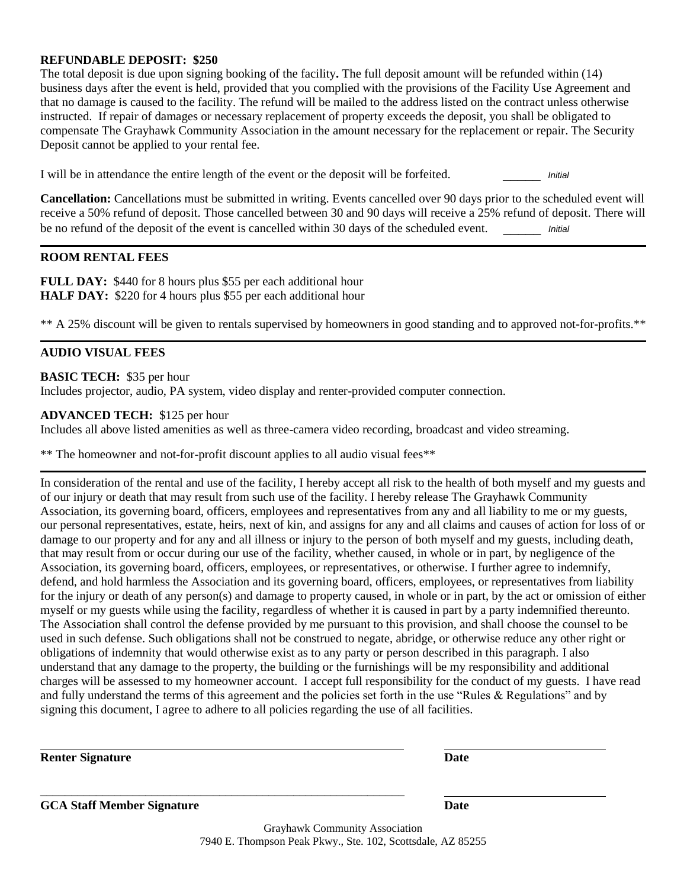### **REFUNDABLE DEPOSIT: \$250**

The total deposit is due upon signing booking of the facility**.** The full deposit amount will be refunded within (14) business days after the event is held, provided that you complied with the provisions of the Facility Use Agreement and that no damage is caused to the facility. The refund will be mailed to the address listed on the contract unless otherwise instructed. If repair of damages or necessary replacement of property exceeds the deposit, you shall be obligated to compensate The Grayhawk Community Association in the amount necessary for the replacement or repair. The Security Deposit cannot be applied to your rental fee.

I will be in attendance the entire length of the event or the deposit will be forfeited. *Initial* 

**Cancellation:** Cancellations must be submitted in writing. Events cancelled over 90 days prior to the scheduled event will receive a 50% refund of deposit. Those cancelled between 30 and 90 days will receive a 25% refund of deposit. There will be no refund of the deposit of the event is cancelled within 30 days of the scheduled event. \_\_\_\_\_ *Initial*

#### **ROOM RENTAL FEES**

**FULL DAY:** \$440 for 8 hours plus \$55 per each additional hour **HALF DAY:** \$220 for 4 hours plus \$55 per each additional hour

\*\* A 25% discount will be given to rentals supervised by homeowners in good standing and to approved not-for-profits.\*\*

### **AUDIO VISUAL FEES**

**BASIC TECH:** \$35 per hour

Includes projector, audio, PA system, video display and renter-provided computer connection.

#### **ADVANCED TECH:** \$125 per hour

Includes all above listed amenities as well as three-camera video recording, broadcast and video streaming.

\*\* The homeowner and not-for-profit discount applies to all audio visual fees\*\*

In consideration of the rental and use of the facility, I hereby accept all risk to the health of both myself and my guests and of our injury or death that may result from such use of the facility. I hereby release The Grayhawk Community Association, its governing board, officers, employees and representatives from any and all liability to me or my guests, our personal representatives, estate, heirs, next of kin, and assigns for any and all claims and causes of action for loss of or damage to our property and for any and all illness or injury to the person of both myself and my guests, including death, that may result from or occur during our use of the facility, whether caused, in whole or in part, by negligence of the Association, its governing board, officers, employees, or representatives, or otherwise. I further agree to indemnify, defend, and hold harmless the Association and its governing board, officers, employees, or representatives from liability for the injury or death of any person(s) and damage to property caused, in whole or in part, by the act or omission of either myself or my guests while using the facility, regardless of whether it is caused in part by a party indemnified thereunto. The Association shall control the defense provided by me pursuant to this provision, and shall choose the counsel to be used in such defense. Such obligations shall not be construed to negate, abridge, or otherwise reduce any other right or obligations of indemnity that would otherwise exist as to any party or person described in this paragraph. I also understand that any damage to the property, the building or the furnishings will be my responsibility and additional charges will be assessed to my homeowner account. I accept full responsibility for the conduct of my guests. I have read and fully understand the terms of this agreement and the policies set forth in the use "Rules & Regulations" and by signing this document, I agree to adhere to all policies regarding the use of all facilities.

**Renter Signature Date** \_\_\_\_\_\_\_\_\_\_\_\_\_\_\_\_\_\_\_\_\_\_\_\_\_\_\_\_\_\_\_\_\_\_\_\_\_\_\_\_\_\_\_\_\_\_\_\_\_\_\_\_\_\_\_\_\_\_\_ **GCA Staff Member Signature Date**

Grayhawk Community Association 7940 E. Thompson Peak Pkwy., Ste. 102, Scottsdale, AZ 85255